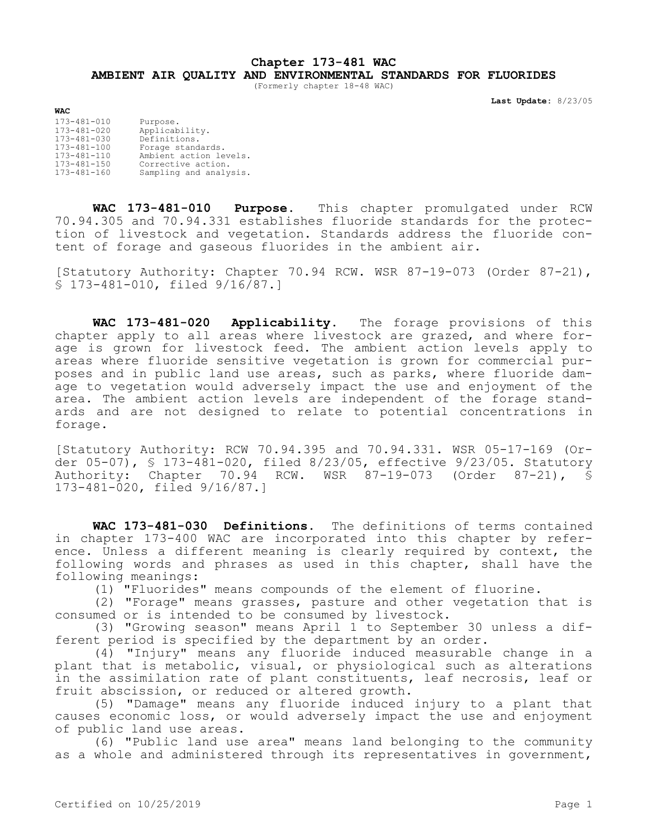## **Chapter 173-481 WAC AMBIENT AIR QUALITY AND ENVIRONMENTAL STANDARDS FOR FLUORIDES**

(Formerly chapter 18-48 WAC)

**Last Update:** 8/23/05

| 173-481-010       | Purpose.               |
|-------------------|------------------------|
| 173-481-020       | Applicability.         |
| 173-481-030       | Definitions.           |
| $173 - 481 - 100$ | Forage standards.      |
| $173 - 481 - 110$ | Ambient action levels. |
| $173 - 481 - 150$ | Corrective action.     |
| $173 - 481 - 160$ | Sampling and analysis. |
|                   |                        |

**WAC**

**WAC 173-481-010 Purpose.** This chapter promulgated under RCW 70.94.305 and 70.94.331 establishes fluoride standards for the protection of livestock and vegetation. Standards address the fluoride content of forage and gaseous fluorides in the ambient air.

[Statutory Authority: Chapter 70.94 RCW. WSR 87-19-073 (Order 87-21), § 173-481-010, filed 9/16/87.]

**WAC 173-481-020 Applicability.** The forage provisions of this chapter apply to all areas where livestock are grazed, and where forage is grown for livestock feed. The ambient action levels apply to areas where fluoride sensitive vegetation is grown for commercial purposes and in public land use areas, such as parks, where fluoride damage to vegetation would adversely impact the use and enjoyment of the area. The ambient action levels are independent of the forage standards and are not designed to relate to potential concentrations in forage.

[Statutory Authority: RCW 70.94.395 and 70.94.331. WSR 05-17-169 (Order 05-07), § 173-481-020, filed 8/23/05, effective 9/23/05. Statutory Authority: Chapter 70.94 RCW. WSR 87-19-073 (Order 87-21), § 173-481-020, filed 9/16/87.]

**WAC 173-481-030 Definitions.** The definitions of terms contained in chapter 173-400 WAC are incorporated into this chapter by reference. Unless a different meaning is clearly required by context, the following words and phrases as used in this chapter, shall have the following meanings:

(1) "Fluorides" means compounds of the element of fluorine.

(2) "Forage" means grasses, pasture and other vegetation that is consumed or is intended to be consumed by livestock.

(3) "Growing season" means April 1 to September 30 unless a different period is specified by the department by an order.

(4) "Injury" means any fluoride induced measurable change in a plant that is metabolic, visual, or physiological such as alterations in the assimilation rate of plant constituents, leaf necrosis, leaf or fruit abscission, or reduced or altered growth.

(5) "Damage" means any fluoride induced injury to a plant that causes economic loss, or would adversely impact the use and enjoyment of public land use areas.

(6) "Public land use area" means land belonging to the community as a whole and administered through its representatives in government,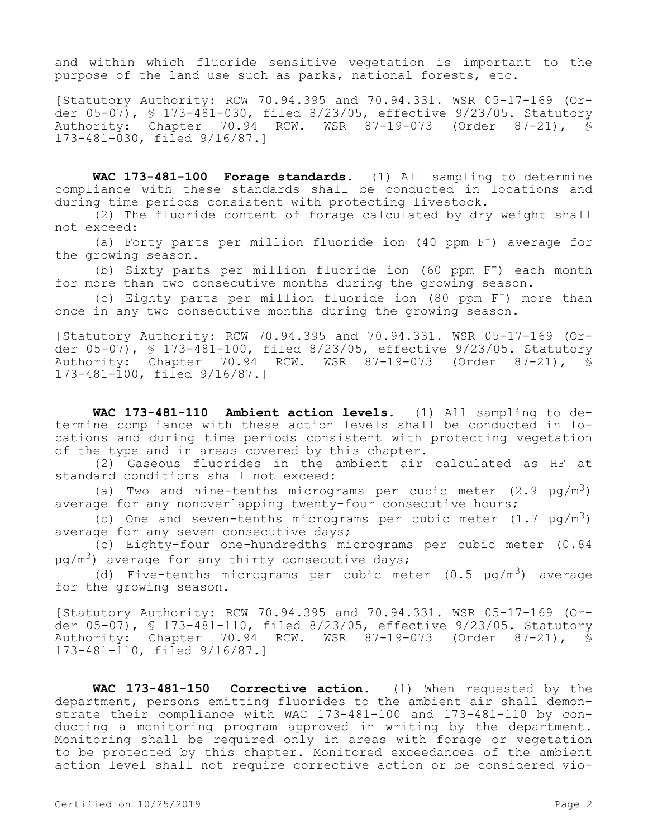and within which fluoride sensitive vegetation is important to the purpose of the land use such as parks, national forests, etc.

[Statutory Authority: RCW 70.94.395 and 70.94.331. WSR 05-17-169 (Order 05-07), § 173-481-030, filed 8/23/05, effective 9/23/05. Statutory Authority: Chapter 70.94 RCW. WSR 87-19-073 (Order 87-21), § 173-481-030, filed 9/16/87.]

**WAC 173-481-100 Forage standards.** (1) All sampling to determine compliance with these standards shall be conducted in locations and during time periods consistent with protecting livestock.

(2) The fluoride content of forage calculated by dry weight shall not exceed:

(a) Forty parts per million fluoride ion (40 ppm F<sup>-</sup>) average for the growing season.

(b) Sixty parts per million fluoride ion (60 ppm F-) each month for more than two consecutive months during the growing season.

(c) Eighty parts per million fluoride ion (80 ppm F-) more than once in any two consecutive months during the growing season.

[Statutory Authority: RCW 70.94.395 and 70.94.331. WSR 05-17-169 (Order 05-07), § 173-481-100, filed 8/23/05, effective 9/23/05. Statutory Authority: Chapter 70.94 RCW. WSR 87-19-073 (Order 87-21), § 173-481-100, filed 9/16/87.]

**WAC 173-481-110 Ambient action levels.** (1) All sampling to determine compliance with these action levels shall be conducted in locations and during time periods consistent with protecting vegetation of the type and in areas covered by this chapter.

(2) Gaseous fluorides in the ambient air calculated as HF at standard conditions shall not exceed:

(a) Two and nine-tenths micrograms per cubic meter  $(2.9 \text{ µg/m}^3)$ average for any nonoverlapping twenty-four consecutive hours;

(b) One and seven-tenths micrograms per cubic meter  $(1.7 \text{ µg/m}^3)$ average for any seven consecutive days;

(c) Eighty-four one-hundredths micrograms per cubic meter (0.84  $\mu$ g/m<sup>3</sup>) average for any thirty consecutive days;

(d) Five-tenths micrograms per cubic meter  $(0.5 \mu g/m^3)$  average for the growing season.

[Statutory Authority: RCW 70.94.395 and 70.94.331. WSR 05-17-169 (Order 05-07), § 173-481-110, filed 8/23/05, effective 9/23/05. Statutory Authority: Chapter 70.94 RCW. WSR 87-19-073 (Order 87-21), § 173-481-110, filed 9/16/87.]

**WAC 173-481-150 Corrective action.** (1) When requested by the department, persons emitting fluorides to the ambient air shall demonstrate their compliance with WAC 173-481-100 and 173-481-110 by conducting a monitoring program approved in writing by the department. Monitoring shall be required only in areas with forage or vegetation to be protected by this chapter. Monitored exceedances of the ambient action level shall not require corrective action or be considered vio